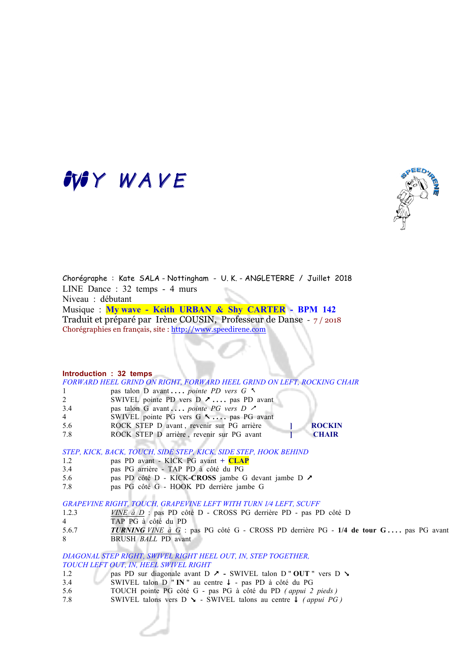# MY WAVE



Chorégraphe : Kate SALA - Nottingham - U. K. - ANGLETERRE / Juillet 2018 LINE Dance : 32 temps - 4 murs Niveau : débutant Musique : **My wave - Keith URBAN & Shy CARTER - BPM 142** Traduit et préparé par Irène COUSIN, Professeur de Danse - 7 / 2018 Chorégraphies en français, site : http://www.speedirene.com

### **Introduction : 32 temps**

*FORWARD HEEL GRIND ON RIGHT, FORWARD HEEL GRIND ON LEFT, ROCKING CHAIR* 1 pas talon D avant **. . . .** *pointe PD vers G* %

- 2 SWIVEL pointe PD vers D  $\lambda$  ... as PD avant
- 3.4 **pas talon G avant ....** *pointe PG vers D*  $\lambda$
- 4 SWIVEL pointe PG vers G 5 ... pas PG avant
- 5.6 ROCK STEP D avant , revenir sur PG arrière **] ROCKIN**
- 7.8 ROCK STEP D arrière , revenir sur PG avant **] CHAIR**

### *STEP, KICK, BACK, TOUCH, SIDE STEP, KICK, SIDE STEP, HOOK BEHIND*

- 1.2 pas PD avant KICK PG avant **+ CLAP**
- 3.4 pas PG arrière TAP PD à côté du PG
- 5.6 pas PD côté D KICK-**CROSS** jambe G devant jambe D &
- 7.8 pas PG côté G HOOK PD derrière jambe G

### *GRAPEVINE RIGHT, TOUCH, GRAPEVINE LEFT WITH TURN 1⁄4 LEFT, SCUFF*

- 1.2.3 *VINE à D* : pas PD côté D CROSS PG derrière PD pas PD côté D
- 4 TAP PG à côté du PD
- 5.6.7 *TURNING VINE à G* : pas PG côté G CROSS PD derrière PG **1/4 de tour G . . . .** pas PG avant
- 8 BRUSH *BALL* PD avant

*DIAGONAL STEP RIGHT, SWIVEL RIGHT HEEL OUT, IN, STEP TOGETHER, TOUCH LEFT OUT, IN, HEEL SWIVEL RIGHT*

- 1.2 pas PD sur diagonale avant D  $\lambda$  SWIVEL talon D " OUT " vers D  $\lambda$
- 3.4 SWIVEL talon D " **IN** " au centre  $\downarrow$  pas PD à côté du PG
- 5.6 TOUCH pointe PG côté G pas PG à côté du PD *( appui 2 pieds )*
- 7.8 SWIVEL talons vers D  $\blacktriangleright$  SWIVEL talons au centre  $\blacktriangleright$  *(appui PG)*